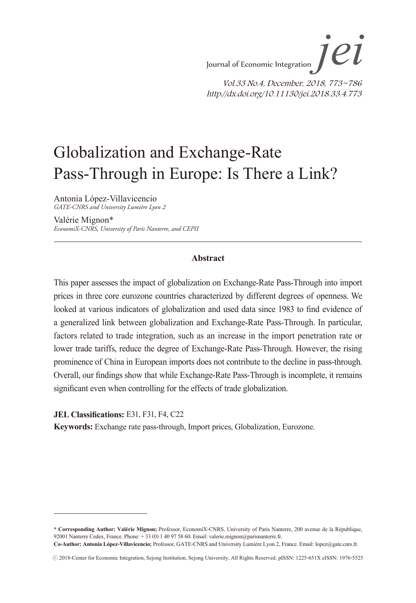# Globalization and Exchange-Rate Pass-Through in Europe: Is There a Link?

Antonia López-Villavicencio *GATE-CNRS and University Lumière Lyon 2*

Valérie Mignon\* *EconomiX-CNRS, University of Paris Nanterre, and CEPII*

#### **Abstract**

This paper assesses the impact of globalization on Exchange-Rate Pass-Through into import prices in three core eurozone countries characterized by different degrees of openness. We looked at various indicators of globalization and used data since 1983 to find evidence of a generalized link between globalization and Exchange-Rate Pass-Through. In particular, factors related to trade integration, such as an increase in the import penetration rate or lower trade tariffs, reduce the degree of Exchange-Rate Pass-Through. However, the rising prominence of China in European imports does not contribute to the decline in pass-through. Overall, our findings show that while Exchange-Rate Pass-Through is incomplete, it remains significant even when controlling for the effects of trade globalization.

**JEL Classifications:** E31, F31, F4, C22

**Keywords:** Exchange rate pass-through, Import prices, Globalization, Eurozone.

**<sup>\*</sup> Corresponding Author: Valérie Mignon;** Professor, EconomiX-CNRS, University of Paris Nanterre, 200 avenue de la République, 92001 Nanterre Cedex, France. Phone: + 33 (0) 1 40 97 58 60. Email: valerie.mignon@parisnanterre.fr.

**Co-Author: Antonia López-Villavicencio;** Professor, GATE-CNRS and University Lumière Lyon 2, France. Email: lopez@gate.cnrs.fr.

<sup>ⓒ</sup> 2018-Center for Economic Integration, Sejong Institution, Sejong University, All Rights Reserved. pISSN: 1225-651X eISSN: 1976-5525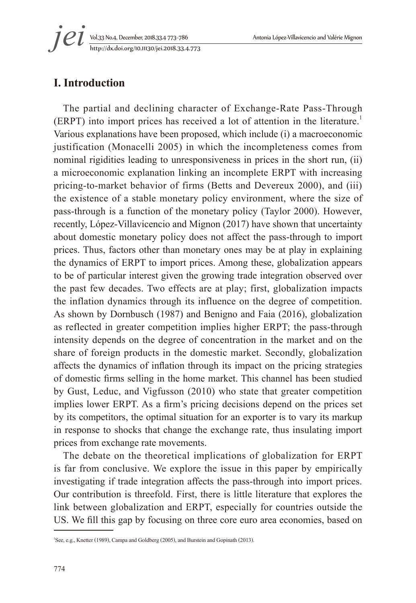http://dx.doi.org/10.11130/jei.2018.33.4.773 *jei*

# **I. Introduction**

The partial and declining character of Exchange-Rate Pass-Through (ERPT) into import prices has received a lot of attention in the literature.<sup>1</sup> Various explanations have been proposed, which include (i) a macroeconomic justification (Monacelli 2005) in which the incompleteness comes from nominal rigidities leading to unresponsiveness in prices in the short run, (ii) a microeconomic explanation linking an incomplete ERPT with increasing pricing-to-market behavior of firms (Betts and Devereux 2000), and (iii) the existence of a stable monetary policy environment, where the size of pass-through is a function of the monetary policy (Taylor 2000). However, recently, López-Villavicencio and Mignon (2017) have shown that uncertainty about domestic monetary policy does not affect the pass-through to import prices. Thus, factors other than monetary ones may be at play in explaining the dynamics of ERPT to import prices. Among these, globalization appears to be of particular interest given the growing trade integration observed over the past few decades. Two effects are at play; first, globalization impacts the inflation dynamics through its influence on the degree of competition. As shown by Dornbusch (1987) and Benigno and Faia (2016), globalization as reflected in greater competition implies higher ERPT; the pass-through intensity depends on the degree of concentration in the market and on the share of foreign products in the domestic market. Secondly, globalization affects the dynamics of inflation through its impact on the pricing strategies of domestic firms selling in the home market. This channel has been studied by Gust, Leduc, and Vigfusson (2010) who state that greater competition implies lower ERPT. As a firm's pricing decisions depend on the prices set by its competitors, the optimal situation for an exporter is to vary its markup in response to shocks that change the exchange rate, thus insulating import prices from exchange rate movements.

The debate on the theoretical implications of globalization for ERPT is far from conclusive. We explore the issue in this paper by empirically investigating if trade integration affects the pass-through into import prices. Our contribution is threefold. First, there is little literature that explores the link between globalization and ERPT, especially for countries outside the US. We fill this gap by focusing on three core euro area economies, based on

<sup>1</sup> See, e.g., Knetter (1989), Campa and Goldberg (2005), and Burstein and Gopinath (2013).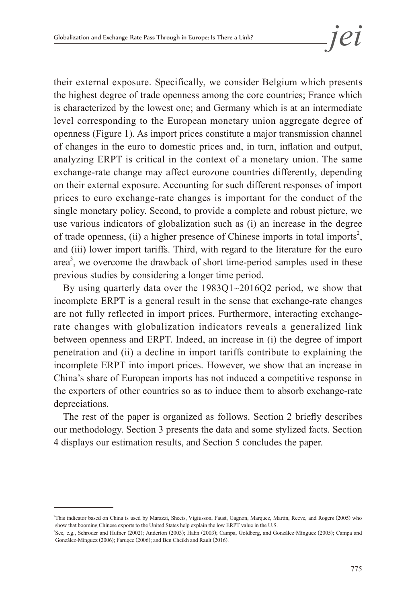their external exposure. Specifically, we consider Belgium which presents the highest degree of trade openness among the core countries; France which is characterized by the lowest one; and Germany which is at an intermediate level corresponding to the European monetary union aggregate degree of openness (Figure 1). As import prices constitute a major transmission channel of changes in the euro to domestic prices and, in turn, inflation and output, analyzing ERPT is critical in the context of a monetary union. The same exchange-rate change may affect eurozone countries differently, depending on their external exposure. Accounting for such different responses of import prices to euro exchange-rate changes is important for the conduct of the single monetary policy. Second, to provide a complete and robust picture, we use various indicators of globalization such as (i) an increase in the degree of trade openness, (ii) a higher presence of Chinese imports in total imports<sup>2</sup>, and (iii) lower import tariffs. Third, with regard to the literature for the euro area<sup>3</sup>, we overcome the drawback of short time-period samples used in these previous studies by considering a longer time period.

By using quarterly data over the 1983Q1~2016Q2 period, we show that incomplete ERPT is a general result in the sense that exchange-rate changes are not fully reflected in import prices. Furthermore, interacting exchangerate changes with globalization indicators reveals a generalized link between openness and ERPT. Indeed, an increase in (i) the degree of import penetration and (ii) a decline in import tariffs contribute to explaining the incomplete ERPT into import prices. However, we show that an increase in China's share of European imports has not induced a competitive response in the exporters of other countries so as to induce them to absorb exchange-rate depreciations.

The rest of the paper is organized as follows. Section 2 briefly describes our methodology. Section 3 presents the data and some stylized facts. Section 4 displays our estimation results, and Section 5 concludes the paper.

<sup>2</sup> This indicator based on China is used by Marazzi, Sheets, Vigfusson, Faust, Gagnon, Marquez, Martin, Reeve, and Rogers (2005) who show that booming Chinese exports to the United States help explain the low ERPT value in the U.S.

<sup>3</sup> See, e.g., Schroder and Hufner (2002); Anderton (2003); Hahn (2003); Campa, Goldberg, and González-Mínguez (2005); Campa and González-Mínguez (2006); Faruqee (2006); and Ben Cheikh and Rault (2016).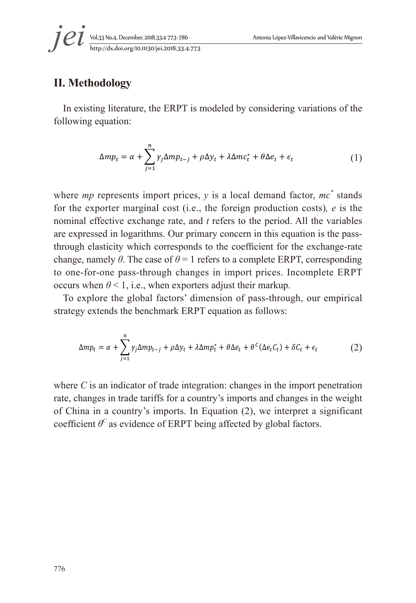# **II. Methodology**

In existing literature, the ERPT is modeled by considering variations of the following equation:

$$
\Delta mp_t = \alpha + \sum_{j=1}^n \gamma_j \Delta mp_{t-j} + \rho \Delta y_t + \lambda \Delta mc_t^* + \theta \Delta e_t + \epsilon_t
$$
 (1)

where *mp* represents import prices,  $y$  is a local demand factor,  $mc^*$  stands for the exporter marginal cost (i.e., the foreign production costs), e is the nominal effective exchange rate, and  $t$  refers to the period. All the variables are expressed in logarithms. Our primary concern in this equation is the passthrough elasticity which corresponds to the coefficient for the exchange-rate change, namely  $\theta$ . The case of  $\theta = 1$  refers to a complete ERPT, corresponding to one-for-one pass-through changes in import prices. Incomplete ERPT occurs when  $\theta$  < 1, i.e., when exporters adjust their markup.

strategy extends the benchmark ERPT equation as follows: To explore the global factors' dimension of pass-through, our empirical

$$
\Delta mp_t = \alpha + \sum_{j=1}^n \gamma_j \Delta mp_{t-j} + \rho \Delta y_t + \lambda \Delta mp_t^* + \theta \Delta e_t + \theta^C (\Delta e_t C_t) + \delta C_t + \epsilon_t
$$
 (2)

where  $C$  is an indicator of trade integration: changes in the import penetration rate, changes in trade tariffs for a country's imports and changes in the weight of China in a country's imports. In Equation (2), we interpret a significant coefficient  $\theta^C$  as evidence of ERPT being affected by global factors.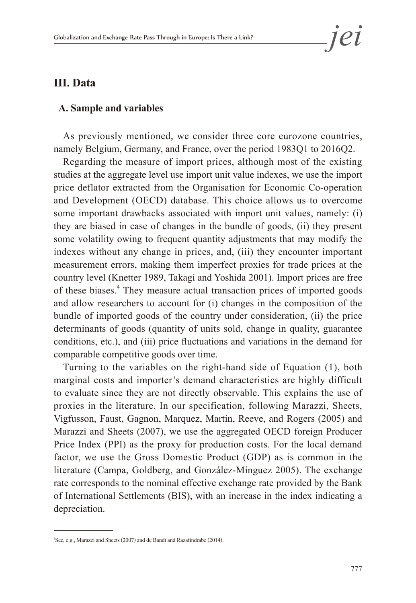## **III. Data**

#### **A. Sample and variables**

As previously mentioned, we consider three core eurozone countries, namely Belgium, Germany, and France, over the period 1983Q1 to 2016Q2.

Regarding the measure of import prices, although most of the existing studies at the aggregate level use import unit value indexes, we use the import price deflator extracted from the Organisation for Economic Co-operation and Development (OECD) database. This choice allows us to overcome some important drawbacks associated with import unit values, namely: (i) they are biased in case of changes in the bundle of goods, (ii) they present some volatility owing to frequent quantity adjustments that may modify the indexes without any change in prices, and, (iii) they encounter important measurement errors, making them imperfect proxies for trade prices at the country level (Knetter 1989, Takagi and Yoshida 2001). Import prices are free of these biases.<sup>4</sup> They measure actual transaction prices of imported goods and allow researchers to account for (i) changes in the composition of the bundle of imported goods of the country under consideration, (ii) the price determinants of goods (quantity of units sold, change in quality, guarantee conditions, etc.), and (iii) price fluctuations and variations in the demand for comparable competitive goods over time.

Turning to the variables on the right-hand side of Equation (1), both marginal costs and importer's demand characteristics are highly difficult to evaluate since they are not directly observable. This explains the use of proxies in the literature. In our specification, following Marazzi, Sheets, Vigfusson, Faust, Gagnon, Marquez, Martin, Reeve, and Rogers (2005) and Marazzi and Sheets (2007), we use the aggregated OECD foreign Producer Price Index (PPI) as the proxy for production costs. For the local demand factor, we use the Gross Domestic Product (GDP) as is common in the literature (Campa, Goldberg, and González-Mínguez 2005). The exchange rate corresponds to the nominal effective exchange rate provided by the Bank of International Settlements (BIS), with an increase in the index indicating a depreciation.

<sup>4</sup> See, e.g., Marazzi and Sheets (2007) and de Bandt and Razafindrabe (2014).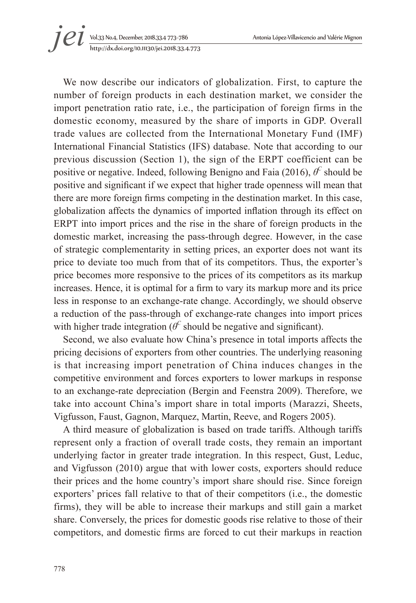Vol.33 No.4, December, 2018.33.4 773~786 Antonia López-Villavicencio and Valérie Mignon 1 *C i* vol.33 No.4, December, 2018.33.4 773-786<br>http://dx.doi.org/10.11130/jei.2018.33.4.773

We now describe our indicators of globalization. First, to capture the number of foreign products in each destination market, we consider the import penetration ratio rate, i.e., the participation of foreign firms in the domestic economy, measured by the share of imports in GDP. Overall trade values are collected from the International Monetary Fund (IMF) International Financial Statistics (IFS) database. Note that according to our previous discussion (Section 1), the sign of the ERPT coefficient can be positive or negative. Indeed, following Benigno and Faia (2016), *θ<sup>C</sup>* should be positive and significant if we expect that higher trade openness will mean that there are more foreign firms competing in the destination market. In this case, globalization affects the dynamics of imported inflation through its effect on ERPT into import prices and the rise in the share of foreign products in the domestic market, increasing the pass-through degree. However, in the case of strategic complementarity in setting prices, an exporter does not want its price to deviate too much from that of its competitors. Thus, the exporter's price becomes more responsive to the prices of its competitors as its markup increases. Hence, it is optimal for a firm to vary its markup more and its price less in response to an exchange-rate change. Accordingly, we should observe a reduction of the pass-through of exchange-rate changes into import prices with higher trade integration ( $\theta^C$  should be negative and significant).

Second, we also evaluate how China's presence in total imports affects the pricing decisions of exporters from other countries. The underlying reasoning is that increasing import penetration of China induces changes in the competitive environment and forces exporters to lower markups in response to an exchange-rate depreciation (Bergin and Feenstra 2009). Therefore, we take into account China's import share in total imports (Marazzi, Sheets, Vigfusson, Faust, Gagnon, Marquez, Martin, Reeve, and Rogers 2005).

A third measure of globalization is based on trade tariffs. Although tariffs represent only a fraction of overall trade costs, they remain an important underlying factor in greater trade integration. In this respect, Gust, Leduc, and Vigfusson (2010) argue that with lower costs, exporters should reduce their prices and the home country's import share should rise. Since foreign exporters' prices fall relative to that of their competitors (i.e., the domestic firms), they will be able to increase their markups and still gain a market share. Conversely, the prices for domestic goods rise relative to those of their competitors, and domestic firms are forced to cut their markups in reaction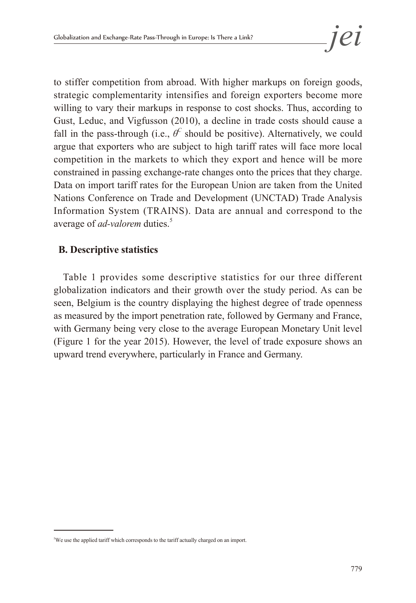to stiffer competition from abroad. With higher markups on foreign goods, strategic complementarity intensifies and foreign exporters become more willing to vary their markups in response to cost shocks. Thus, according to Gust, Leduc, and Vigfusson (2010), a decline in trade costs should cause a fall in the pass-through (i.e.,  $\theta^C$  should be positive). Alternatively, we could argue that exporters who are subject to high tariff rates will face more local competition in the markets to which they export and hence will be more constrained in passing exchange-rate changes onto the prices that they charge. Data on import tariff rates for the European Union are taken from the United Nations Conference on Trade and Development (UNCTAD) Trade Analysis Information System (TRAINS). Data are annual and correspond to the average of *ad-valorem* duties.<sup>5</sup>

# **B. Descriptive statistics**

Table 1 provides some descriptive statistics for our three different globalization indicators and their growth over the study period. As can be seen, Belgium is the country displaying the highest degree of trade openness as measured by the import penetration rate, followed by Germany and France, with Germany being very close to the average European Monetary Unit level (Figure 1 for the year 2015). However, the level of trade exposure shows an upward trend everywhere, particularly in France and Germany.

<sup>5</sup> We use the applied tariff which corresponds to the tariff actually charged on an import.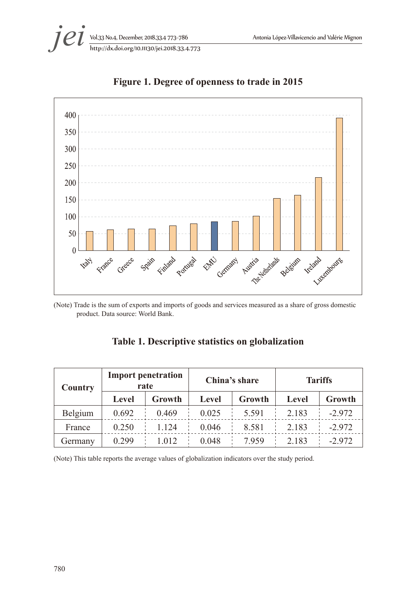



**Figure 1. Degree of openness to trade in 2015**

(Note) Trade is the sum of exports and imports of goods and services measured as a share of gross domestic product. Data source: World Bank.

## **Table 1. Descriptive statistics on globalization**

| Country | <b>Import penetration</b><br>rate |         | China's share |         | <b>Tariffs</b> |          |
|---------|-----------------------------------|---------|---------------|---------|----------------|----------|
|         | Level                             | Growth  | Level         | Growth  | Level          | Growth   |
| Belgium | 0.692                             | 0.469   | 0.025         | 5 5 9 1 | 2 1 8 3        | $-2.972$ |
| France  | 0.250                             | 1 1 2 4 | 0.046         | 8.581   | 2.183          | $-2.972$ |
| Germany | 0.299                             | 1 0 1 2 | 0.048         | 7959    | 2.183          | $-2972$  |

(Note) This table reports the average values of globalization indicators over the study period.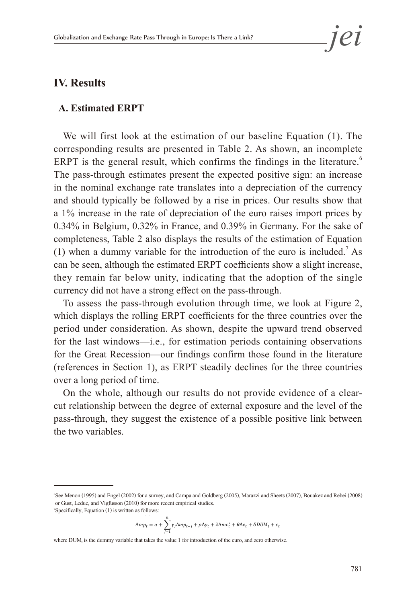## **IV. Results**

#### **A. Estimated ERPT**

We will first look at the estimation of our baseline Equation (1). The corresponding results are presented in Table 2. As shown, an incomplete ERPT is the general result, which confirms the findings in the literature.<sup>6</sup> The pass-through estimates present the expected positive sign: an increase in the nominal exchange rate translates into a depreciation of the currency and should typically be followed by a rise in prices. Our results show that a 1% increase in the rate of depreciation of the euro raises import prices by 0.34% in Belgium, 0.32% in France, and 0.39% in Germany. For the sake of completeness, Table 2 also displays the results of the estimation of Equation (1) when a dummy variable for the introduction of the euro is included.<sup>7</sup> As can be seen, although the estimated ERPT coefficients show a slight increase, they remain far below unity, indicating that the adoption of the single currency did not have a strong effect on the pass-through.

To assess the pass-through evolution through time, we look at Figure 2, which displays the rolling ERPT coefficients for the three countries over the period under consideration. As shown, despite the upward trend observed for the last windows-i.e., for estimation periods containing observations for the Great Recession—our findings confirm those found in the literature (references in Section 1), as ERPT steadily declines for the three countries over a long period of time.  $\epsilon$  and  $\epsilon$  results in the pass-through the pass-through the pass-through evolution through the pass-through  $\epsilon$ cal reception of the results community the equation of the

On the whole, although our results do not provide evidence of a clearcut relationship between the degree of external exposure and the level of the The contribution in the suggest of contribution the positive link between pass-through, they suggest the existence of a possible positive link between the two variables. ight, they suggest the existence of a possible positive film

$$
\Delta mp_t = \alpha + \sum_{j=1}^n \gamma_j \Delta mp_{t-j} + \rho \Delta y_t + \lambda \Delta m c_t^* + \theta \Delta e_t + \delta D U M_t + \epsilon_t
$$

where DUM, is the dummy variable that takes the value 1 for introduction of the euro, and zero otherwise.

See Menon (1995) and Engel (2002) for a survey, and Campa and Goldberg (2005), Marazzi and Sheets (2007), Bouakez and Rebei (2008)<br>or Gust Leduc and Vigfusson (2010) for more recent empirical studies or Gust, Leduc, and Vigfusson (2010) for more recent empirical studies.  $\overline{a}$ <sup>7</sup>Specifically, Equation (1) is written as follows: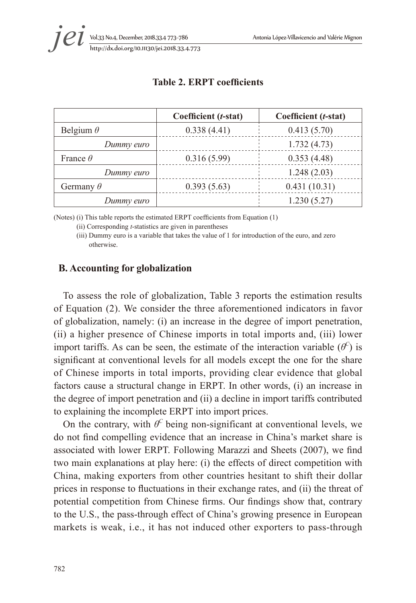|                  | Coefficient (t-stat) | Coefficient (t-stat) |
|------------------|----------------------|----------------------|
| Belgium $\theta$ | 0.338(4.41)          | 0.413(5.70)          |
| Dummy euro       |                      | 1.732(4.73)          |
| France $\theta$  | 0.316(5.99)          | 0.353(4.48)          |
| Dummy euro       |                      | 1.248(2.03)          |
| Germany $\theta$ | 0.393(5.63)          | 0.431(10.31)         |
| Dummy euro       |                      | 1.230(5.27)          |

#### **Table 2. ERPT coefficients**

(Notes) (i) This table reports the estimated ERPT coefficients from Equation (1)

(ii) Corresponding *t*-statistics are given in parentheses

 (iii) Dummy euro is a variable that takes the value of 1 for introduction of the euro, and zero otherwise.

### **B. Accounting for globalization**

To assess the role of globalization, Table 3 reports the estimation results of Equation (2). We consider the three aforementioned indicators in favor of globalization, namely: (i) an increase in the degree of import penetration, (ii) a higher presence of Chinese imports in total imports and, (iii) lower import tariffs. As can be seen, the estimate of the interaction variable  $(\theta^C)$  is significant at conventional levels for all models except the one for the share of Chinese imports in total imports, providing clear evidence that global factors cause a structural change in ERPT. In other words, (i) an increase in the degree of import penetration and (ii) a decline in import tariffs contributed to explaining the incomplete ERPT into import prices.

On the contrary, with  $\theta^C$  being non-significant at conventional levels, we do not find compelling evidence that an increase in China's market share is associated with lower ERPT. Following Marazzi and Sheets (2007), we find two main explanations at play here: (i) the effects of direct competition with China, making exporters from other countries hesitant to shift their dollar prices in response to fluctuations in their exchange rates, and (ii) the threat of potential competition from Chinese firms. Our findings show that, contrary to the U.S., the pass-through effect of China's growing presence in European markets is weak, i.e., it has not induced other exporters to pass-through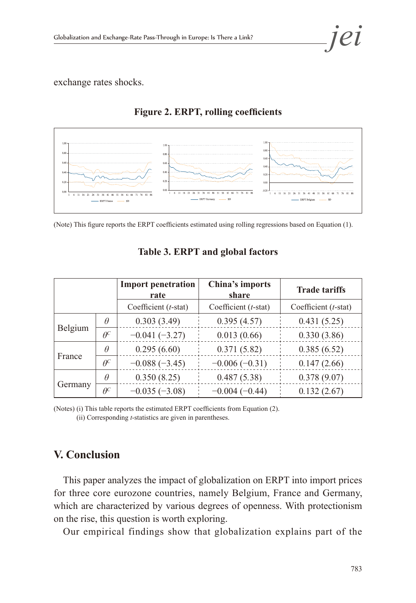exchange rates shocks.



## **Figure 2. ERPT, rolling coefficients**



|         |            | <b>Import penetration</b><br>rate | China's imports<br>share | <b>Trade tariffs</b> |
|---------|------------|-----------------------------------|--------------------------|----------------------|
|         |            | Coefficient $(t$ -stat)           | Coefficient (t-stat)     | Coefficient (t-stat) |
| Belgium | $\theta$   | 0.303(3.49)                       | 0.395(4.57)              | 0.431(5.25)          |
|         | $\theta^c$ | $-0.041(-3.27)$                   | 0.013(0.66)              | 0.330(3.86)          |
| France  | $\theta$   | 0.295(6.60)                       | 0.371(5.82)              | 0.385(6.52)          |
|         | $\theta^C$ | $-0.088(-3.45)$                   | $-0.006(-0.31)$          | 0.147(2.66)          |
| Germany | $\theta$   | 0.350(8.25)                       | 0.487(5.38)              | 0.378(9.07)          |
|         | $\theta^C$ | $-0.035(-3.08)$                   | $-0.004(-0.44)$          | 0.132(2.67)          |

# **Table 3. ERPT and global factors**

(Notes) (i) This table reports the estimated ERPT coefficients from Equation (2).

(ii) Corresponding *t*-statistics are given in parentheses.

# **V. Conclusion**

This paper analyzes the impact of globalization on ERPT into import prices for three core eurozone countries, namely Belgium, France and Germany, which are characterized by various degrees of openness. With protectionism on the rise, this question is worth exploring.

Our empirical findings show that globalization explains part of the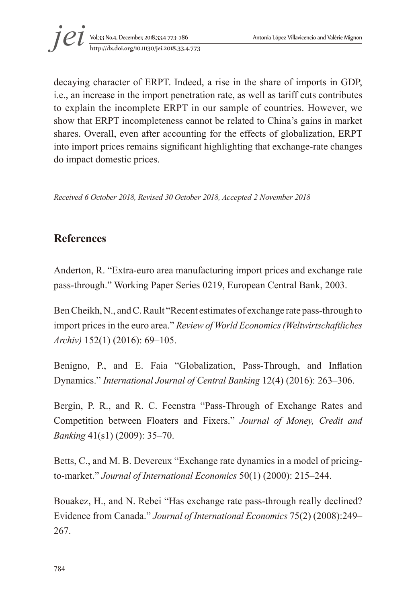

decaying character of ERPT. Indeed, a rise in the share of imports in GDP, i.e., an increase in the import penetration rate, as well as tariff cuts contributes to explain the incomplete ERPT in our sample of countries. However, we show that ERPT incompleteness cannot be related to China's gains in market shares. Overall, even after accounting for the effects of globalization, ERPT into import prices remains significant highlighting that exchange-rate changes do impact domestic prices.

*Received 6 October 2018, Revised 30 October 2018, Accepted 2 November 2018*

# **References**

Anderton, R. "Extra-euro area manufacturing import prices and exchange rate pass-through." Working Paper Series 0219, European Central Bank, 2003.

Ben Cheikh, N., and C. Rault "Recent estimates of exchange rate pass-through to import prices in the euro area." *Review of World Economics (Weltwirtschaftliches Archiv)* 152(1) (2016): 69–105.

Benigno, P., and E. Faia "Globalization, Pass-Through, and Inflation Dynamics." *International Journal of Central Banking* 12(4) (2016): 263–306.

Bergin, P. R., and R. C. Feenstra "Pass-Through of Exchange Rates and Competition between Floaters and Fixers." *Journal of Money, Credit and Banking* 41(s1) (2009): 35–70.

Betts, C., and M. B. Devereux "Exchange rate dynamics in a model of pricingto-market." *Journal of International Economics* 50(1) (2000): 215–244.

Bouakez, H., and N. Rebei "Has exchange rate pass-through really declined? Evidence from Canada." *Journal of International Economics* 75(2) (2008):249– 267.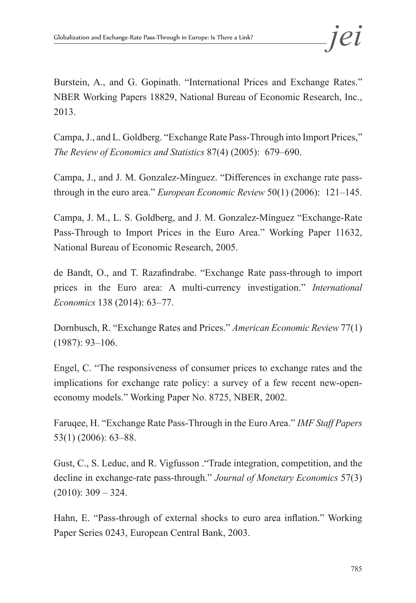Burstein, A., and G. Gopinath. "International Prices and Exchange Rates." NBER Working Papers 18829, National Bureau of Economic Research, Inc., 2013.

Campa, J., and L. Goldberg. "Exchange Rate Pass-Through into Import Prices," *The Review of Economics and Statistics* 87(4) (2005): 679–690.

Campa, J., and J. M. Gonzalez-Mínguez. "Differences in exchange rate passthrough in the euro area." *European Economic Review* 50(1) (2006): 121–145.

Campa, J. M., L. S. Goldberg, and J. M. Gonzalez-Mínguez "Exchange-Rate Pass-Through to Import Prices in the Euro Area." Working Paper 11632, National Bureau of Economic Research, 2005.

de Bandt, O., and T. Razafindrabe. "Exchange Rate pass-through to import prices in the Euro area: A multi-currency investigation." *International Economics* 138 (2014): 63–77.

Dornbusch, R. "Exchange Rates and Prices." *American Economic Review* 77(1) (1987): 93–106.

Engel, C. "The responsiveness of consumer prices to exchange rates and the implications for exchange rate policy: a survey of a few recent new-openeconomy models." Working Paper No. 8725, NBER, 2002.

Faruqee, H. "Exchange Rate Pass-Through in the Euro Area." *IMF Staff Papers*  53(1) (2006): 63–88.

Gust, C., S. Leduc, and R. Vigfusson ."Trade integration, competition, and the decline in exchange-rate pass-through." *Journal of Monetary Economics* 57(3)  $(2010): 309 - 324.$ 

Hahn, E. "Pass-through of external shocks to euro area inflation." Working Paper Series 0243, European Central Bank, 2003.